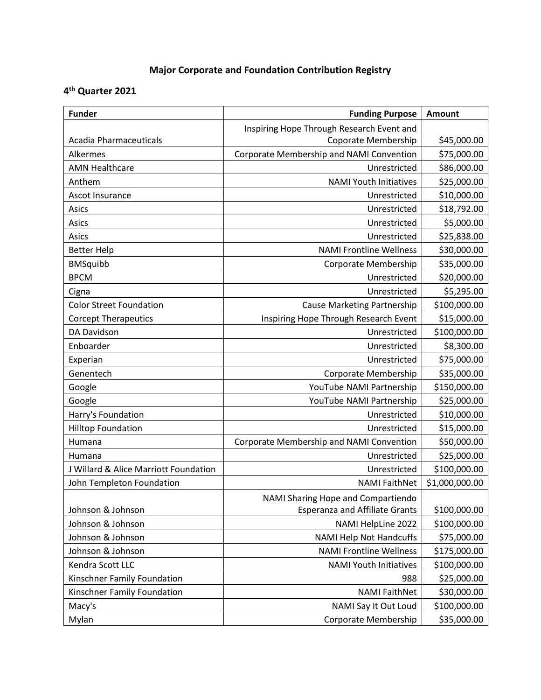## **Major Corporate and Foundation Contribution Registry**

## **4 th Quarter 2021**

| <b>Funder</b>                         | <b>Funding Purpose</b>                    | Amount         |
|---------------------------------------|-------------------------------------------|----------------|
|                                       | Inspiring Hope Through Research Event and |                |
| <b>Acadia Pharmaceuticals</b>         | Coporate Membership                       | \$45,000.00    |
| Alkermes                              | Corporate Membership and NAMI Convention  | \$75,000.00    |
| <b>AMN Healthcare</b>                 | Unrestricted                              | \$86,000.00    |
| Anthem                                | <b>NAMI Youth Initiatives</b>             | \$25,000.00    |
| Ascot Insurance                       | Unrestricted                              | \$10,000.00    |
| Asics                                 | Unrestricted                              | \$18,792.00    |
| Asics                                 | Unrestricted                              | \$5,000.00     |
| Asics                                 | Unrestricted                              | \$25,838.00    |
| <b>Better Help</b>                    | <b>NAMI Frontline Wellness</b>            | \$30,000.00    |
| <b>BMSquibb</b>                       | Corporate Membership                      | \$35,000.00    |
| <b>BPCM</b>                           | Unrestricted                              | \$20,000.00    |
| Cigna                                 | Unrestricted                              | \$5,295.00     |
| <b>Color Street Foundation</b>        | <b>Cause Marketing Partnership</b>        | \$100,000.00   |
| <b>Corcept Therapeutics</b>           | Inspiring Hope Through Research Event     | \$15,000.00    |
| DA Davidson                           | Unrestricted                              | \$100,000.00   |
| Enboarder                             | Unrestricted                              | \$8,300.00     |
| Experian                              | Unrestricted                              | \$75,000.00    |
| Genentech                             | Corporate Membership                      | \$35,000.00    |
| Google                                | YouTube NAMI Partnership                  | \$150,000.00   |
| Google                                | YouTube NAMI Partnership                  | \$25,000.00    |
| Harry's Foundation                    | Unrestricted                              | \$10,000.00    |
| <b>Hilltop Foundation</b>             | Unrestricted                              | \$15,000.00    |
| Humana                                | Corporate Membership and NAMI Convention  | \$50,000.00    |
| Humana                                | Unrestricted                              | \$25,000.00    |
| J Willard & Alice Marriott Foundation | Unrestricted                              | \$100,000.00   |
| John Templeton Foundation             | <b>NAMI FaithNet</b>                      | \$1,000,000.00 |
|                                       | NAMI Sharing Hope and Compartiendo        |                |
| Johnson & Johnson                     | <b>Esperanza and Affiliate Grants</b>     | \$100,000.00   |
| Johnson & Johnson                     | NAMI HelpLine 2022                        | \$100,000.00   |
| Johnson & Johnson                     | <b>NAMI Help Not Handcuffs</b>            | \$75,000.00    |
| Johnson & Johnson                     | <b>NAMI Frontline Wellness</b>            | \$175,000.00   |
| Kendra Scott LLC                      | <b>NAMI Youth Initiatives</b>             | \$100,000.00   |
| Kinschner Family Foundation           | 988                                       | \$25,000.00    |
| Kinschner Family Foundation           | <b>NAMI FaithNet</b>                      | \$30,000.00    |
| Macy's                                | NAMI Say It Out Loud                      | \$100,000.00   |
| Mylan                                 | Corporate Membership                      | \$35,000.00    |